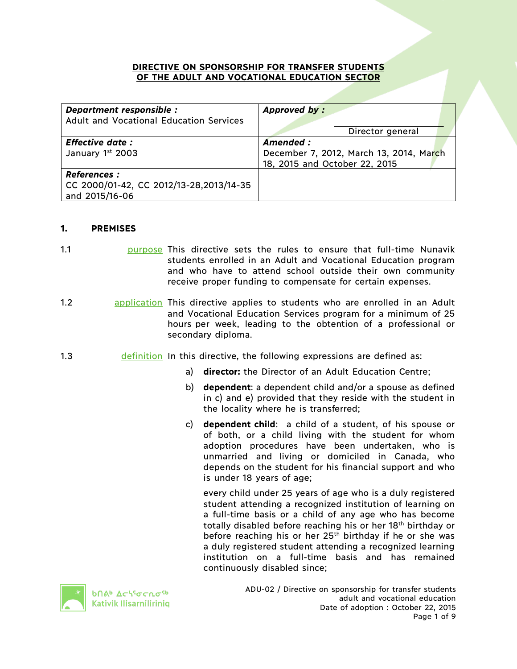#### **DIRECTIVE ON SPONSORSHIP FOR TRANSFER STUDENTS OF THE ADULT AND VOCATIONAL EDUCATION SECTOR**

| Department responsible :<br>Adult and Vocational Education Services              | Approved by:                                                                         |
|----------------------------------------------------------------------------------|--------------------------------------------------------------------------------------|
|                                                                                  | Director general                                                                     |
| <b>Effective date:</b><br>January 1st 2003                                       | Amended:<br>December 7, 2012, March 13, 2014, March<br>18, 2015 and October 22, 2015 |
| <b>References :</b><br>CC 2000/01-42, CC 2012/13-28,2013/14-35<br>and 2015/16-06 |                                                                                      |

### **1. PREMISES**

- 1.1 **1.1** purpose This directive sets the rules to ensure that full-time Nunavik students enrolled in an Adult and Vocational Education program and who have to attend school outside their own community receive proper funding to compensate for certain expenses.
- 1.2 application This directive applies to students who are enrolled in an Adult and Vocational Education Services program for a minimum of 25 hours per week, leading to the obtention of a professional or secondary diploma.
- 1.3 definition In this directive, the following expressions are defined as:
	- a) **director:** the Director of an Adult Education Centre;
	- b) **dependent**: a dependent child and/or a spouse as defined in c) and e) provided that they reside with the student in the locality where he is transferred;
	- c) **dependent child**: a child of a student, of his spouse or of both, or a child living with the student for whom adoption procedures have been undertaken, who is unmarried and living or domiciled in Canada, who depends on the student for his financial support and who is under 18 years of age;

every child under 25 years of age who is a duly registered student attending a recognized institution of learning on a full-time basis or a child of any age who has become totally disabled before reaching his or her 18th birthday or before reaching his or her  $25<sup>th</sup>$  birthday if he or she was a duly registered student attending a recognized learning institution on a full-time basis and has remained continuously disabled since;



**b**በል<mark>ነ ∆</mark>cነ<sup>ና</sup>σcռσ<sup>ς6</sup> Kativik Ilisarniliriniq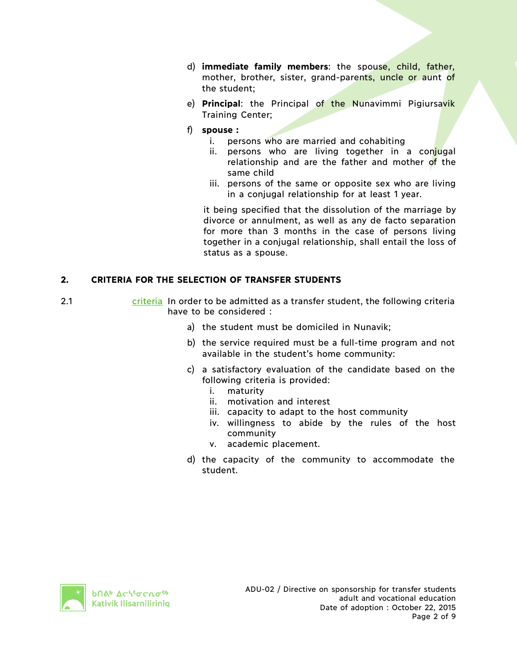- d) **immediate family members**: the spouse, child, father, mother, brother, sister, grand-parents, uncle or aunt of the student;
- e) **Principal**: the Principal of the Nunavimmi Pigiursavik Training Center;
- f) **spouse :**
	- i. persons who are married and cohabiting
	- ii. persons who are living together in a conjugal relationship and are the father and mother of the same child
	- iii. persons of the same or opposite sex who are living in a conjugal relationship for at least 1 year.

it being specified that the dissolution of the marriage by divorce or annulment, as well as any de facto separation for more than 3 months in the case of persons living together in a conjugal relationship, shall entail the loss of status as a spouse.

# **2. CRITERIA FOR THE SELECTION OF TRANSFER STUDENTS**

- 2.1 criteria In order to be admitted as a transfer student, the following criteria have to be considered :
	- a) the student must be domiciled in Nunavik;
	- b) the service required must be a full-time program and not available in the student's home community:
	- c) a satisfactory evaluation of the candidate based on the following criteria is provided:
		- i. maturity
		- ii. motivation and interest
		- iii. capacity to adapt to the host community
		- iv. willingness to abide by the rules of the host community
		- v. academic placement.
	- d) the capacity of the community to accommodate the student.

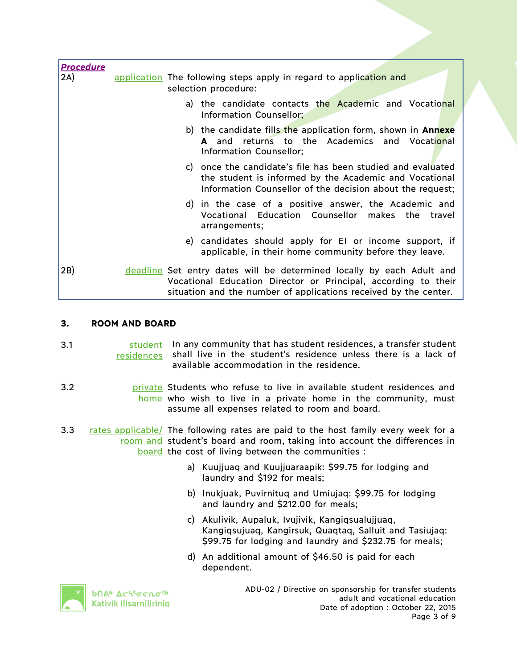| <b>Procedure</b> |                                                                                                                                                                                                             |
|------------------|-------------------------------------------------------------------------------------------------------------------------------------------------------------------------------------------------------------|
| 2A)              | application The following steps apply in regard to application and<br>selection procedure:                                                                                                                  |
|                  | a) the candidate contacts the Academic and Vocational<br>Information Counsellor;                                                                                                                            |
|                  | b) the candidate fills the application form, shown in <b>Annexe</b><br><b>A</b> and returns to the Academics and Vocational<br>Information Counsellor;                                                      |
|                  | c) once the candidate's file has been studied and evaluated<br>the student is informed by the Academic and Vocational<br>Information Counsellor of the decision about the request;                          |
|                  | d) in the case of a positive answer, the Academic and<br>Vocational Education Counsellor makes the travel<br>arrangements;                                                                                  |
|                  | e) candidates should apply for El or income support, if<br>applicable, in their home community before they leave.                                                                                           |
| 2B)              | deadline Set entry dates will be determined locally by each Adult and<br>Vocational Education Director or Principal, according to their<br>situation and the number of applications received by the center. |

### **3. ROOM AND BOARD**

| 3.1 | student In any community that has student residences, a transfer student   |
|-----|----------------------------------------------------------------------------|
|     | residences shall live in the student's residence unless there is a lack of |
|     | available accommodation in the residence.                                  |

- 3.2 **britional private** Students who refuse to live in available student residences and home who wish to live in a private home in the community, must assume all expenses related to room and board.
- 3.3 rates applicable/ The following rates are paid to the host family every week for a room and student's board and room, taking into account the differences in board the cost of living between the communities :
	- a) Kuujjuaq and Kuujjuaraapik: \$99.75 for lodging and laundry and \$192 for meals;
	- b) Inukjuak, Puvirnituq and Umiujaq: \$99.75 for lodging and laundry and \$212.00 for meals;
	- c) Akulivik, Aupaluk, Ivujivik, Kangiqsualujjuaq, Kangiqsujuaq, Kangirsuk, Quaqtaq, Salluit and Tasiujaq: \$99.75 for lodging and laundry and \$232.75 for meals;
	- d) An additional amount of \$46.50 is paid for each dependent.



**b**በል<sup>b</sup> Δς<sup>ις</sup>σς ησ<sup>ς 6</sup> Kativik Ilisarniliriniq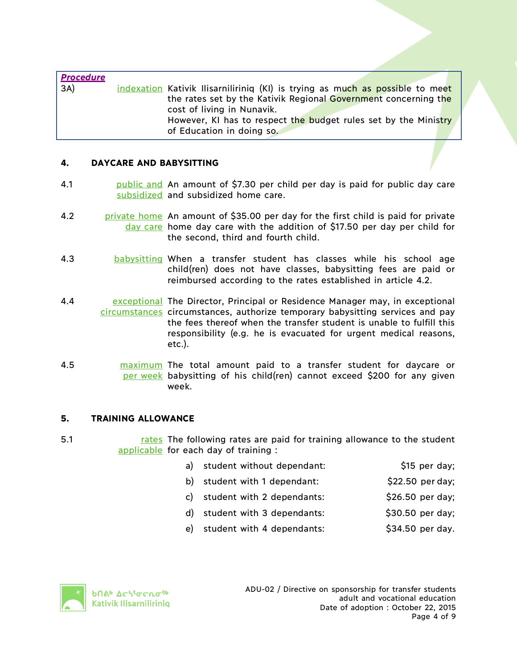| <b>Procedure</b><br>3A) | indexation Kativik Ilisarniliriniq (KI) is trying as much as possible to meet<br>the rates set by the Kativik Regional Government concerning the<br>cost of living in Nunavik.<br>However, KI has to respect the budget rules set by the Ministry<br>of Education in doing so. |
|-------------------------|--------------------------------------------------------------------------------------------------------------------------------------------------------------------------------------------------------------------------------------------------------------------------------|
|                         |                                                                                                                                                                                                                                                                                |

### **4. DAYCARE AND BABYSITTING**

- 4.1 **bublic and An amount of \$7.30 per child per day is paid for public day care** subsidized and subsidized home care.
- 4.2 **private home** An amount of \$35.00 per day for the first child is paid for private day care home day care with the addition of \$17.50 per day per child for the second, third and fourth child.
- 4.3 babysitting When a transfer student has classes while his school age child(ren) does not have classes, babysitting fees are paid or reimbursed according to the rates established in article 4.2.
- 4.4 **Example 20 Exceptional The Director, Principal or Residence Manager may, in exceptional** circumstances circumstances, authorize temporary babysitting services and pay the fees thereof when the transfer student is unable to fulfill this responsibility (e.g. he is evacuated for urgent medical reasons, etc.).
- 4.5 **maximum** The total amount paid to a transfer student for daycare or per week babysitting of his child(ren) cannot exceed \$200 for any given week.

#### **5. TRAINING ALLOWANCE**

5.1 **rates The following rates are paid for training allowance to the student** applicable for each day of training :

| a) student without dependant: | \$15 per day; |
|-------------------------------|---------------|
|                               |               |

- b) student with 1 dependant:  $$22.50$  per day;
- c) student with 2 dependants:  $\frac{1}{26.50}$  per day;
- d) student with 3 dependants: \$30.50 per day;
- e) student with 4 dependants: <br>\$34.50 per day.

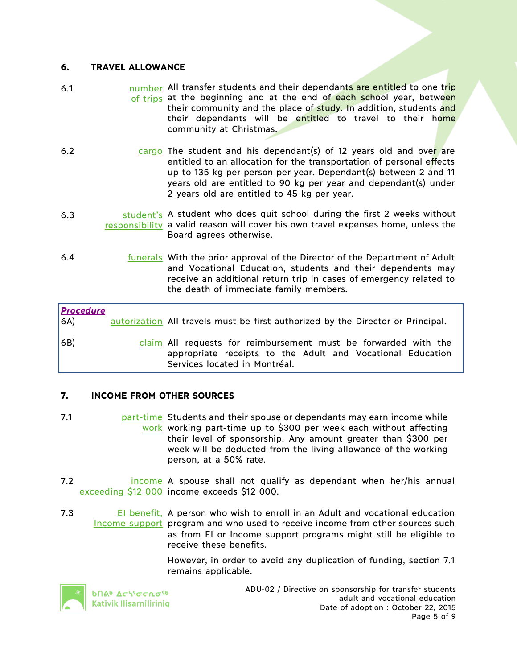### **6. TRAVEL ALLOWANCE**

- 6.1 **humber All transfer students and their dependants are entitled to one trip** of trips at the beginning and at the end of each school year, between their community and the place of study. In addition, students and their dependants will be entitled to travel to their home community at Christmas.
- 6.2 cargo The student and his dependant(s) of 12 years old and over are entitled to an allocation for the transportation of personal effects up to 135 kg per person per year. Dependant(s) between 2 and 11 years old are entitled to 90 kg per year and dependant(s) under 2 years old are entitled to 45 kg per year.
- 6.3 student's A student who does quit school during the first 2 weeks without responsibility a valid reason will cover his own travel expenses home, unless the Board agrees otherwise.
- 6.4 *<u>funerals</u>* With the prior approval of the Director of the Department of Adult and Vocational Education, students and their dependents may receive an additional return trip in cases of emergency related to the death of immediate family members.

| <b>Procedure</b><br>6A) | autorization All travels must be first authorized by the Director or Principal.                                                                                |
|-------------------------|----------------------------------------------------------------------------------------------------------------------------------------------------------------|
| 6B)                     | claim All requests for reimbursement must be forwarded with the<br>appropriate receipts to the Adult and Vocational Education<br>Services located in Montréal. |

# **7. INCOME FROM OTHER SOURCES**

- 7.1 *part-time* Students and their spouse or dependants may earn income while work working part-time up to \$300 per week each without affecting their level of sponsorship. Any amount greater than \$300 per week will be deducted from the living allowance of the working person, at a 50% rate.
- 7.2 **income A spouse shall not qualify as dependant when her/his annual** exceeding \$12 000 income exceeds \$12 000.
- 7.3 **EI benefit, A person who wish to enroll in an Adult and vocational education** Income support program and who used to receive income from other sources such as from EI or Income support programs might still be eligible to receive these benefits.

However, in order to avoid any duplication of funding, section 7.1 remains applicable.



**b**በል<sup>b</sup> Δς\<sup>ς</sup>σς λσ<sup>ς b</sup> Kativik Ilisarniliriniq ADU-02 / Directive on sponsorship for transfer students adult and vocational education Date of adoption : October 22, 2015 Page 5 of 9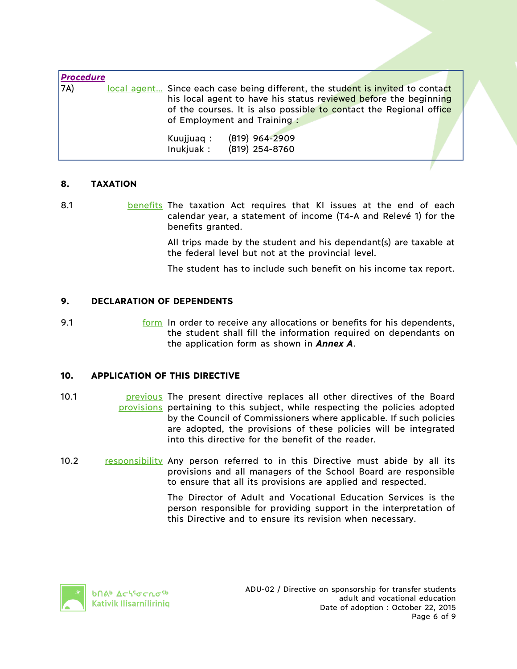| <b>Procedure</b> |           |                                                                                                                                                                                                                          |  |
|------------------|-----------|--------------------------------------------------------------------------------------------------------------------------------------------------------------------------------------------------------------------------|--|
| 7A)              |           | local agent Since each case being different, the student is invited to contact<br>his local agent to have his status reviewed before the beginning<br>of the courses. It is also possible to contact the Regional office |  |
|                  |           | of Employment and Training:                                                                                                                                                                                              |  |
|                  | Kuujjuaq: | $(819)$ 964-2909<br>Inukjuak: (819) 254-8760                                                                                                                                                                             |  |
|                  |           |                                                                                                                                                                                                                          |  |

# **8. TAXATION**

8.1 **benefits The taxation Act requires that KI issues at the end of each** calendar year, a statement of income (T4-A and Relevé 1) for the benefits granted.

> All trips made by the student and his dependant(s) are taxable at the federal level but not at the provincial level.

> The student has to include such benefit on his income tax report.

### **9. DECLARATION OF DEPENDENTS**

9.1 **Form In order to receive any allocations or benefits for his dependents,** the student shall fill the information required on dependants on the application form as shown in *Annex A*.

# **10. APPLICATION OF THIS DIRECTIVE**

- 10.1 **previous** The present directive replaces all other directives of the Board provisions pertaining to this subject, while respecting the policies adopted by the Council of Commissioners where applicable. If such policies are adopted, the provisions of these policies will be integrated into this directive for the benefit of the reader.
- 10.2 responsibility Any person referred to in this Directive must abide by all its provisions and all managers of the School Board are responsible to ensure that all its provisions are applied and respected.

The Director of Adult and Vocational Education Services is the person responsible for providing support in the interpretation of this Directive and to ensure its revision when necessary.

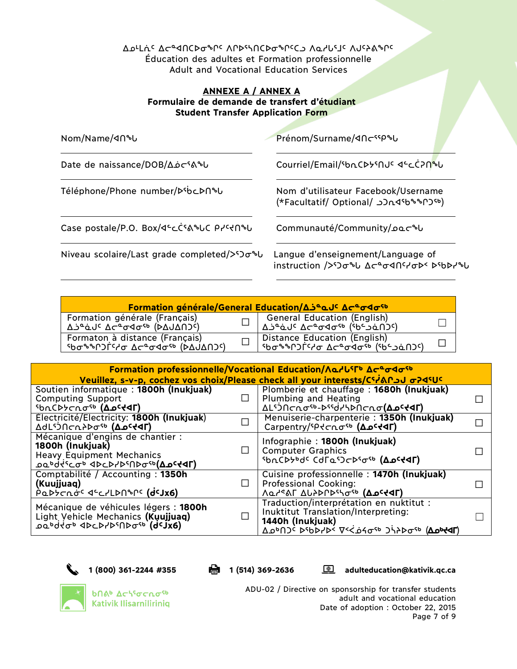ᐃᓄᒻᒪᕇᑦ ᐃᓕᓐᐊᑎᑕᐅᓂᖏᑦ ᐱᒋᐅᕐᓴᑎᑕᐅᓂᖏᑦᑕᓗ ᐱᓇᓱᒐᕐᒧᑦ ᐱᒍᑦᔨᕕᖏᑦ Éducation des adultes et Formation professionnelle Adult and Vocational Education Services

# **ANNEXE A / ANNEX A Formulaire de demande de transfert d'étudiant Student Transfer Application Form**

| Nom/Name/40%U                                                                                                                                        | Prénom/Surname/<10cssp%U                                                                 |  |
|------------------------------------------------------------------------------------------------------------------------------------------------------|------------------------------------------------------------------------------------------|--|
| Date de naissance/DOB/ $\Delta \dot{\rho}$ CSA&U                                                                                                     | Courriel/Email/SbnCD5SNJC 4SCC7NSU                                                       |  |
| Téléphone/Phone number/D'bcDn'b                                                                                                                      | Nom d'utilisateur Facebook/Username<br>(*Facultatif/ Optional/ در /Facultatif/ Optional/ |  |
| Case postale/P.O. Box/ଏ"cCናልኈሁር Prናተበኈሁ                                                                                                              | Communauté/Community/20c%U                                                               |  |
| Niveau scolaire/Last grade completed/> <do&u< td=""><td>Langue d'enseignement/Language of<br/>instruction /&gt;ነጋσზს Δcªσ4በናሃσÞ ኦየbÞ/ზს</td></do&u<> | Langue d'enseignement/Language of<br>instruction />ነጋσზს Δcªσ4በናሃσÞ ኦየbÞ/ზს              |  |

| Formation générale/General Education/Δ5°aJC Δσ°σ<10                |                                                                                                           |  |  |
|--------------------------------------------------------------------|-----------------------------------------------------------------------------------------------------------|--|--|
| Formation générale (Français)<br><u>A Seauc Aceadare (DAJANJc)</u> | — General Education (English)<br>Δذ^و Δد^و Δد^و ασ°σ (۶b) Δذα (۱۵د^و)                                     |  |  |
| Formaton à distance (Français)<br>ახსაეს ძანზა≏ე ბაპገርባ≁ზებძა      | Distance Education (English)<br>  יסראלי בריס בריס הריס הריס (יכום הריס הילדים בריס הריס הריס ה<br>$\Box$ |  |  |

|                                                                                                                                                                                                     |        | Formation professionnelle/Vocational Education/Λα/USFb Δσεσ4σ5b                                                                                          |  |
|-----------------------------------------------------------------------------------------------------------------------------------------------------------------------------------------------------|--------|----------------------------------------------------------------------------------------------------------------------------------------------------------|--|
|                                                                                                                                                                                                     |        | Veuillez, s-v-p, cochez vos choix/Please check all your interests/CS-AND3 J σ-245UC                                                                      |  |
| Soutien informatique: 1800h (Inukjuak)<br><b>Computing Support</b>                                                                                                                                  | $\Box$ | Plomberie et chauffage: 1680h (Inukjuak)<br>Plumbing and Heating                                                                                         |  |
| <sup>S</sup> bnCDSCnosb ( <b>Apstdr</b> )                                                                                                                                                           |        | ΔLS) በσησ <sup>ερ</sup> -Ρεεσήλρησησ <b>(ΔρελαΓ)</b>                                                                                                     |  |
| Électricité/Electricity: 1800h (Inukjuak)<br><b>AdLSONCRAPOSO (ADCTAT)</b>                                                                                                                          |        | Menuiserie-charpenterie: 1350h (Inukjuak)<br>Carpentry/SP << nosb (ADC+4T)                                                                               |  |
| Mécanique d'engins de chantier :<br>1800h (Inukjuak)<br><b>Heavy Equipment Mechanics</b><br>Ͽϭ <sub>₽</sub> ϙϥ <sub>Ϥϲ</sub> ϹϘ <sub>Ϸ</sub> ͺϤϷϚϷϞϦϩϢϷϘ <sub>ͼϷ</sub> ( <b>ͲϿ<sub>ͻ</sub>ϲ4ϤL)</b> |        | Infographie: 1800h (Inukjuak)<br><b>Computer Graphics</b><br><sup>5</sup> bnCD5bdc CdΓa <sup>5</sup> JcD5σ <sup>ε</sup> b (Δ <b>ρ<sup>c</sup>t&lt;Γ)</b> |  |
| Comptabilité / Accounting: 1350h<br>(Kuujjuaq)<br>PQDYCNO <sup>C</sup> d <sup>c</sup> c7LDN <sup>o</sup> nc (dcJx6)                                                                                 |        | Cuisine professionnelle: 1470h (Inukjuak)<br><b>Professional Cooking:</b><br>Λα <sup>ικ</sup> ልΓ Δυλρηρεισεο (Δ <b>ρειαΓ)</b>                            |  |
| Mécanique de véhicules légers : 1800h<br>Light Vehicle Mechanics (Kuujjuaq)<br><u>ραράςιορ αρς Αλερινουραρο</u> (qc)xe)                                                                             |        | Traduction/interprétation en nuktitut :<br>Inuktitut Translation/Interpreting:<br>1440h (Inukjuak)<br><u> 799999 19446 1946699960 194066</u>             |  |

**1 (800) 361-2244 #355 1 (514) 369-2636 adulteducation@kativik.qc.ca**



**b**Πል<sup>b</sup> Δς<sup>ις</sup>σς ησ<sup>ς 6</sup> **Kativik Ilisarniliriniq**  ADU-02 / Directive on sponsorship for transfer students adult and vocational education Date of adoption : October 22, 2015 Page 7 of 9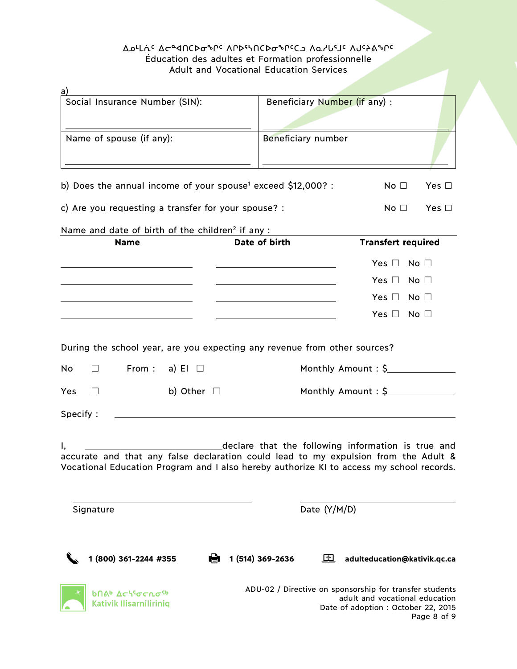# ᐃᓄᒻᒪᕇᑦ ᐃᓕᓐᐊᑎᑕᐅᓂᖏᑦ ᐱᒋᐅᕐᓴᑎᑕᐅᓂᖏᑦᑕᓗ ᐱᓇᓱᒐᕐᒧᑦ ᐱᒍᑦᔨᕕᖏᑦ Éducation des adultes et Formation professionnelle Adult and Vocational Education Services

| a)                                                                                       |                                                         |                                |
|------------------------------------------------------------------------------------------|---------------------------------------------------------|--------------------------------|
| Social Insurance Number (SIN):                                                           | Beneficiary Number (if any) :                           |                                |
|                                                                                          |                                                         |                                |
| Name of spouse (if any):                                                                 | Beneficiary number                                      |                                |
|                                                                                          |                                                         |                                |
|                                                                                          |                                                         |                                |
| b) Does the annual income of your spouse <sup>1</sup> exceed \$12,000? :                 |                                                         | No <sub>1</sub><br>Yes $\Box$  |
| c) Are you requesting a transfer for your spouse? :                                      |                                                         | No <sub>1</sub><br>Yes $\Box$  |
| Name and date of birth of the children <sup>2</sup> if any :                             |                                                         |                                |
| <b>Name</b>                                                                              | Date of birth                                           | <b>Transfert required</b>      |
|                                                                                          |                                                         | Yes $\Box$ No $\Box$           |
|                                                                                          |                                                         | Yes $\Box$ No $\Box$           |
|                                                                                          |                                                         | Yes $\Box$ No $\Box$           |
|                                                                                          |                                                         | Yes $\Box$ No $\Box$           |
|                                                                                          |                                                         |                                |
| During the school year, are you expecting any revenue from other sources?                |                                                         |                                |
|                                                                                          |                                                         |                                |
| From : a) EI $\Box$<br>No<br>$\Box$                                                      |                                                         | Monthly Amount: \$             |
| b) Other $\Box$<br>Yes<br>$\Box$                                                         |                                                         | Monthly Amount: \$             |
| Specify:                                                                                 |                                                         |                                |
|                                                                                          |                                                         |                                |
| I,                                                                                       | declare that the following information is true and      |                                |
| accurate and that any false declaration could lead to my expulsion from the Adult &      |                                                         |                                |
| Vocational Education Program and I also hereby authorize KI to access my school records. |                                                         |                                |
|                                                                                          |                                                         |                                |
| Signature                                                                                | Date (Y/M/D)                                            |                                |
|                                                                                          |                                                         |                                |
|                                                                                          |                                                         |                                |
| 1 (800) 361-2244 #355                                                                    | Ĥ<br>1 (514) 369-2636<br>$\bigoplus$                    | adulteducation@kativik.qc.ca   |
|                                                                                          |                                                         |                                |
|                                                                                          |                                                         |                                |
| <b>ხ</b> በል <sup></sup> Δς\ <sup>ς</sup> σς იσ <sup>ς ხ</sup><br>Kativik Ilisarniliriniq | ADU-02 / Directive on sponsorship for transfer students | adult and vocational education |